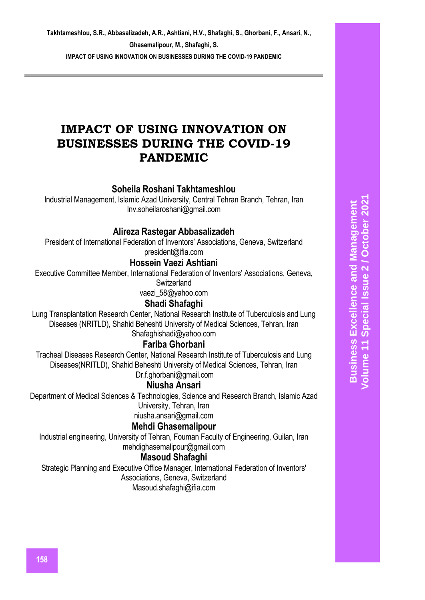# **IMPACT OF USING INNOVATION ON BUSINESSES DURING THE COVID-19 PANDEMIC**

# **Soheila Roshani Takhtameshlou**

Industrial Management, Islamic Azad University, Central Tehran Branch, Tehran, Iran [Inv.soheilaroshani@gmail.com](mailto:Inv.soheilaroshani@gmail.com)

# **Alireza Rastegar Abbasalizadeh**

President of International Federation of Inventors' Associations, Geneva, Switzerland [president@ifia.com](mailto:president@ifia.com)

## **Hossein Vaezi Ashtiani**

Executive Committee Member, International Federation of Inventors' Associations, Geneva,

**Switzerland** 

vaezi 58@yahoo.com

## **Shadi Shafaghi**

Lung Transplantation Research Center, National Research Institute of Tuberculosis and Lung Diseases (NRITLD), Shahid Beheshti University of Medical Sciences, Tehran, Iran [Shafaghishadi@yahoo.com](mailto:Shafaghishadi@yahoo.com)

# **Fariba Ghorbani**

Tracheal Diseases Research Center, National Research Institute of Tuberculosis and Lung Diseases(NRITLD), Shahid Beheshti University of Medical Sciences, Tehran, Iran

[Dr.f.ghorbani@gmail.com](mailto:Dr.f.ghorbani@gmail.com)

## **Niusha Ansari**

Department of Medical Sciences & Technologies, Science and Research Branch, Islamic Azad University, Tehran, Iran

[niusha.ansari@gmail.com](mailto:niusha.ansari@gmail.com)

# **Mehdi Ghasemalipour**

Industrial engineering, University of Tehran, Fouman Faculty of Engineering, Guilan, Iran [mehdighasemalipour@gmail.com](mailto:mehdighasemalipour@gmail.com)

# **Masoud Shafaghi**

Strategic Planning and Executive Office Manager, International Federation of Inventors' Associations, Geneva, Switzerland [Masoud.shafaghi@ifia.com](mailto:Masoud.shafaghi@ifia.com)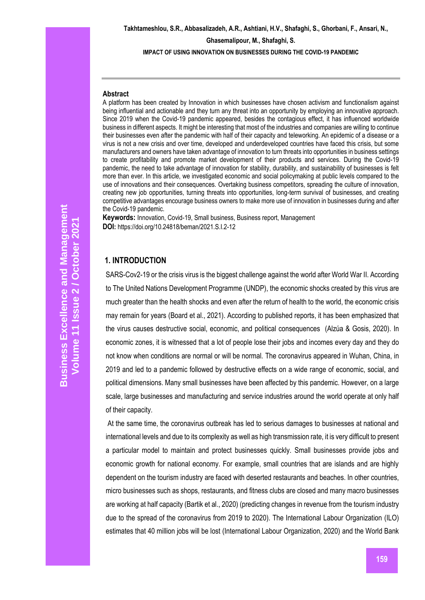**Takhtameshlou, S.R., Abbasalizadeh, A.R., Ashtiani, H.V., Shafaghi, S., Ghorbani, F., Ansari, N., Ghasemalipour, M., Shafaghi, S. IMPACT OF USING INNOVATION ON BUSINESSES DURING THE COVID-19 PANDEMIC**

#### **Abstract**

A platform has been created by Innovation in which businesses have chosen activism and functionalism against being influential and actionable and they turn any threat into an opportunity by employing an innovative approach. Since 2019 when the Covid-19 pandemic appeared, besides the contagious effect, it has influenced worldwide business in different aspects. It might be interesting that most of the industries and companies are willing to continue their businesses even after the pandemic with half of their capacity and teleworking. An epidemic of a disease or a virus is not a new crisis and over time, developed and underdeveloped countries have faced this crisis, but some manufacturers and owners have taken advantage of innovation to turn threats into opportunities in business settings to create profitability and promote market development of their products and services. During the Covid-19 pandemic, the need to take advantage of innovation for stability, durability, and sustainability of businesses is felt more than ever. In this article, we investigated economic and social policymaking at public levels compared to the use of innovations and their consequences. Overtaking business competitors, spreading the culture of innovation, creating new job opportunities, turning threats into opportunities, long-term survival of businesses, and creating competitive advantages encourage business owners to make more use of innovation in businesses during and after the Covid-19 pandemic.

**Keywords:** Innovation, Covid-19, Small business, Business report, Management **DOI:** https://doi.org/10.24818/beman/2021.S.I.2-12

#### **1. INTRODUCTION**

SARS-Cov2-19 or the crisis virus is the biggest challenge against the world after World War II. According to The United Nations Development Programme (UNDP), the economic shocks created by this virus are much greater than the health shocks and even after the return of health to the world, the economic crisis may remain for years (Board et al., 2021). According to published reports, it has been emphasized that the virus causes destructive social, economic, and political consequences (Alzúa & Gosis, 2020). In economic zones, it is witnessed that a lot of people lose their jobs and incomes every day and they do not know when conditions are normal or will be normal. The coronavirus appeared in Wuhan, China, in 2019 and led to a pandemic followed by destructive effects on a wide range of economic, social, and political dimensions. Many small businesses have been affected by this pandemic. However, on a large scale, large businesses and manufacturing and service industries around the world operate at only half of their capacity.

At the same time, the coronavirus outbreak has led to serious damages to businesses at national and international levels and due to its complexity as well as high transmission rate, it is very difficult to present a particular model to maintain and protect businesses quickly. Small businesses provide jobs and economic growth for national economy. For example, small countries that are islands and are highly dependent on the tourism industry are faced with deserted restaurants and beaches. In other countries, micro businesses such as shops, restaurants, and fitness clubs are closed and many macro businesses are working at half capacity (Bartik et al., 2020) (predicting changes in revenue from the tourism industry due to the spread of the coronavirus from 2019 to 2020). The International Labour Organization (ILO) estimates that 40 million jobs will be lost (International Labour Organization, 2020) and the World Bank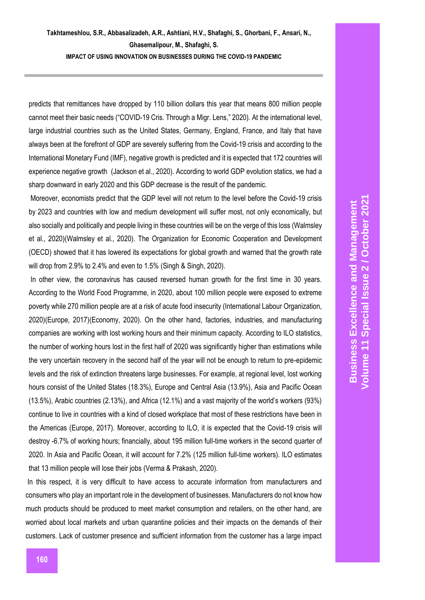predicts that remittances have dropped by 110 billion dollars this year that means 800 million people cannot meet their basic needs ("COVID-19 Cris. Through a Migr. Lens," 2020). At the international level, large industrial countries such as the United States, Germany, England, France, and Italy that have always been at the forefront of GDP are severely suffering from the Covid-19 crisis and according to the International Monetary Fund (IMF), negative growth is predicted and it is expected that 172 countries will experience negative growth (Jackson et al., 2020). According to world GDP evolution statics, we had a sharp downward in early 2020 and this GDP decrease is the result of the pandemic.

Moreover, economists predict that the GDP level will not return to the level before the Covid-19 crisis by 2023 and countries with low and medium development will suffer most, not only economically, but also socially and politically and people living in these countries will be on the verge of this loss (Walmsley et al., 2020)(Walmsley et al., 2020). The Organization for Economic Cooperation and Development (OECD) showed that it has lowered its expectations for global growth and warned that the growth rate will drop from 2.9% to 2.4% and even to 1.5% (Singh & Singh, 2020).

In other view, the coronavirus has caused reversed human growth for the first time in 30 years. According to the World Food Programme, in 2020, about 100 million people were exposed to extreme poverty while 270 million people are at a risk of acute food insecurity (International Labour Organization, 2020)(Europe, 2017)(Economy, 2020). On the other hand, factories, industries, and manufacturing companies are working with lost working hours and their minimum capacity. According to ILO statistics, the number of working hours lost in the first half of 2020 was significantly higher than estimations while the very uncertain recovery in the second half of the year will not be enough to return to pre-epidemic levels and the risk of extinction threatens large businesses. For example, at regional level, lost working hours consist of the United States (18.3%), Europe and Central Asia (13.9%), Asia and Pacific Ocean (13.5%), Arabic countries (2.13%), and Africa (12.1%) and a vast majority of the world's workers (93%) continue to live in countries with a kind of closed workplace that most of these restrictions have been in the Americas (Europe, 2017). Moreover, according to ILO, it is expected that the Covid-19 crisis will destroy -6.7% of working hours; financially, about 195 million full-time workers in the second quarter of 2020. In Asia and Pacific Ocean, it will account for 7.2% (125 million full-time workers). ILO estimates that 13 million people will lose their jobs (Verma & Prakash, 2020).

In this respect, it is very difficult to have access to accurate information from manufacturers and consumers who play an important role in the development of businesses. Manufacturers do not know how much products should be produced to meet market consumption and retailers, on the other hand, are worried about local markets and urban quarantine policies and their impacts on the demands of their customers. Lack of customer presence and sufficient information from the customer has a large impact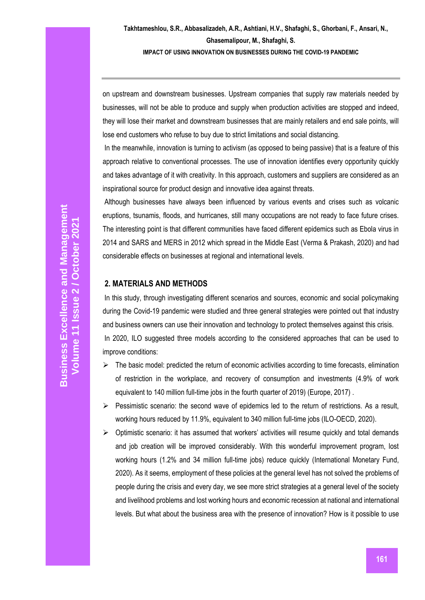on upstream and downstream businesses. Upstream companies that supply raw materials needed by businesses, will not be able to produce and supply when production activities are stopped and indeed, they will lose their market and downstream businesses that are mainly retailers and end sale points, will lose end customers who refuse to buy due to strict limitations and social distancing.

In the meanwhile, innovation is turning to activism (as opposed to being passive) that is a feature of this approach relative to conventional processes. The use of innovation identifies every opportunity quickly and takes advantage of it with creativity. In this approach, customers and suppliers are considered as an inspirational source for product design and innovative idea against threats.

Although businesses have always been influenced by various events and crises such as volcanic eruptions, tsunamis, floods, and hurricanes, still many occupations are not ready to face future crises. The interesting point is that different communities have faced different epidemics such as Ebola virus in 2014 and SARS and MERS in 2012 which spread in the Middle East (Verma & Prakash, 2020) and had considerable effects on businesses at regional and international levels.

### **2. MATERIALS AND METHODS**

In this study, through investigating different scenarios and sources, economic and social policymaking during the Covid-19 pandemic were studied and three general strategies were pointed out that industry and business owners can use their innovation and technology to protect themselves against this crisis. In 2020, ILO suggested three models according to the considered approaches that can be used to improve conditions:

- $\triangleright$  The basic model: predicted the return of economic activities according to time forecasts, elimination of restriction in the workplace, and recovery of consumption and investments (4.9% of work equivalent to 140 million full-time jobs in the fourth quarter of 2019) (Europe, 2017) .
- $\triangleright$  Pessimistic scenario: the second wave of epidemics led to the return of restrictions. As a result, working hours reduced by 11.9%, equivalent to 340 million full-time jobs (ILO-OECD, 2020).
- $\triangleright$  Optimistic scenario: it has assumed that workers' activities will resume quickly and total demands and job creation will be improved considerably. With this wonderful improvement program, lost working hours (1.2% and 34 million full-time jobs) reduce quickly (International Monetary Fund, 2020). As it seems, employment of these policies at the general level has not solved the problems of people during the crisis and every day, we see more strict strategies at a general level of the society and livelihood problems and lost working hours and economic recession at national and international levels. But what about the business area with the presence of innovation? How is it possible to use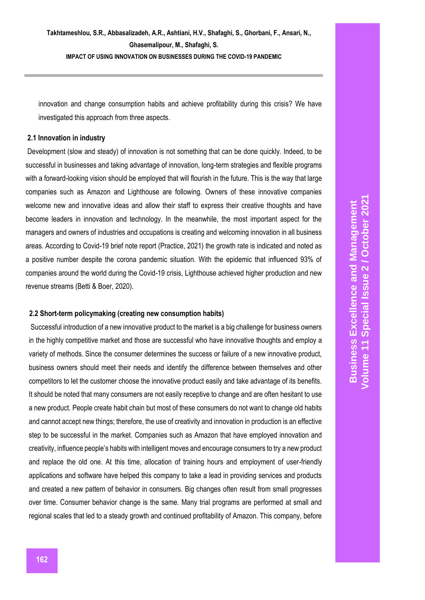innovation and change consumption habits and achieve profitability during this crisis? We have investigated this approach from three aspects.

#### **2.1 Innovation in industry**

Development (slow and steady) of innovation is not something that can be done quickly. Indeed, to be successful in businesses and taking advantage of innovation, long-term strategies and flexible programs with a forward-looking vision should be employed that will flourish in the future. This is the way that large companies such as Amazon and Lighthouse are following. Owners of these innovative companies welcome new and innovative ideas and allow their staff to express their creative thoughts and have become leaders in innovation and technology. In the meanwhile, the most important aspect for the managers and owners of industries and occupations is creating and welcoming innovation in all business areas. According to Covid-19 brief note report (Practice, 2021) the growth rate is indicated and noted as a positive number despite the corona pandemic situation. With the epidemic that influenced 93% of companies around the world during the Covid-19 crisis, Lighthouse achieved higher production and new revenue streams (Betti & Boer, 2020).

#### **2.2 Short-term policymaking (creating new consumption habits)**

Successful introduction of a new innovative product to the market is a big challenge for business owners in the highly competitive market and those are successful who have innovative thoughts and employ a variety of methods. Since the consumer determines the success or failure of a new innovative product, business owners should meet their needs and identify the difference between themselves and other competitors to let the customer choose the innovative product easily and take advantage of its benefits. It should be noted that many consumers are not easily receptive to change and are often hesitant to use a new product. People create habit chain but most of these consumers do not want to change old habits and cannot accept new things; therefore, the use of creativity and innovation in production is an effective step to be successful in the market. Companies such as Amazon that have employed innovation and creativity, influence people's habits with intelligent moves and encourage consumers to try a new product and replace the old one. At this time, allocation of training hours and employment of user-friendly applications and software have helped this company to take a lead in providing services and products and created a new pattern of behavior in consumers. Big changes often result from small progresses over time. Consumer behavior change is the same. Many trial programs are performed at small and regional scales that led to a steady growth and continued profitability of Amazon. This company, before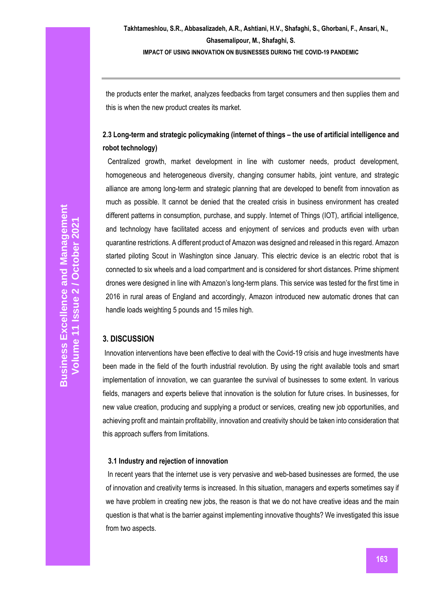the products enter the market, analyzes feedbacks from target consumers and then supplies them and this is when the new product creates its market.

# **2.3 Long-term and strategic policymaking (internet of things – the use of artificial intelligence and robot technology)**

Centralized growth, market development in line with customer needs, product development, homogeneous and heterogeneous diversity, changing consumer habits, joint venture, and strategic alliance are among long-term and strategic planning that are developed to benefit from innovation as much as possible. It cannot be denied that the created crisis in business environment has created different patterns in consumption, purchase, and supply. Internet of Things (IOT), artificial intelligence, and technology have facilitated access and enjoyment of services and products even with urban quarantine restrictions. A different product of Amazon was designed and released in this regard. Amazon started piloting Scout in Washington since January. This electric device is an electric robot that is connected to six wheels and a load compartment and is considered for short distances. Prime shipment drones were designed in line with Amazon's long-term plans. This service was tested for the first time in 2016 in rural areas of England and accordingly, Amazon introduced new automatic drones that can handle loads weighting 5 pounds and 15 miles high.

## **3. DISCUSSION**

Innovation interventions have been effective to deal with the Covid-19 crisis and huge investments have been made in the field of the fourth industrial revolution. By using the right available tools and smart implementation of innovation, we can guarantee the survival of businesses to some extent. In various fields, managers and experts believe that innovation is the solution for future crises. In businesses, for new value creation, producing and supplying a product or services, creating new job opportunities, and achieving profit and maintain profitability, innovation and creativity should be taken into consideration that this approach suffers from limitations.

### **3.1 Industry and rejection of innovation**

In recent years that the internet use is very pervasive and web-based businesses are formed, the use of innovation and creativity terms is increased. In this situation, managers and experts sometimes say if we have problem in creating new jobs, the reason is that we do not have creative ideas and the main question is that what is the barrier against implementing innovative thoughts? We investigated this issue from two aspects.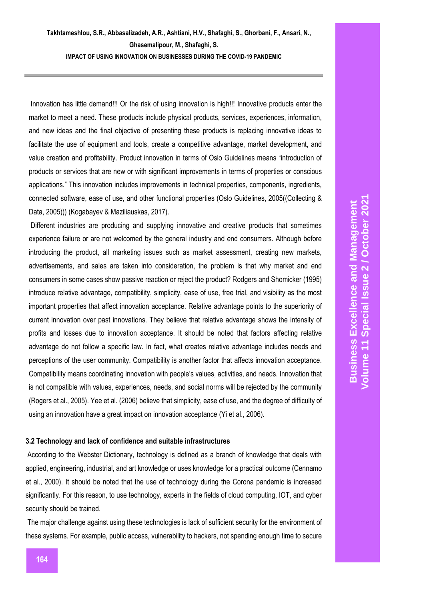Innovation has little demand!!! Or the risk of using innovation is high!!! Innovative products enter the market to meet a need. These products include physical products, services, experiences, information, and new ideas and the final objective of presenting these products is replacing innovative ideas to facilitate the use of equipment and tools, create a competitive advantage, market development, and value creation and profitability. Product innovation in terms of Oslo Guidelines means "introduction of products or services that are new or with significant improvements in terms of properties or conscious applications." This innovation includes improvements in technical properties, components, ingredients, connected software, ease of use, and other functional properties (Oslo Guidelines, 2005((Collecting & Data, 2005))) (Kogabayev & Maziliauskas, 2017).

Different industries are producing and supplying innovative and creative products that sometimes experience failure or are not welcomed by the general industry and end consumers. Although before introducing the product, all marketing issues such as market assessment, creating new markets, advertisements, and sales are taken into consideration, the problem is that why market and end consumers in some cases show passive reaction or reject the product? Rodgers and Shomicker (1995) introduce relative advantage, compatibility, simplicity, ease of use, free trial, and visibility as the most important properties that affect innovation acceptance. Relative advantage points to the superiority of current innovation over past innovations. They believe that relative advantage shows the intensity of profits and losses due to innovation acceptance. It should be noted that factors affecting relative advantage do not follow a specific law. In fact, what creates relative advantage includes needs and perceptions of the user community. Compatibility is another factor that affects innovation acceptance. Compatibility means coordinating innovation with people's values, activities, and needs. Innovation that is not compatible with values, experiences, needs, and social norms will be rejected by the community (Rogers et al., 2005). Yee et al. (2006) believe that simplicity, ease of use, and the degree of difficulty of using an innovation have a great impact on innovation acceptance (Yi et al., 2006).

#### **3.2 Technology and lack of confidence and suitable infrastructures**

According to the Webster Dictionary, technology is defined as a branch of knowledge that deals with applied, engineering, industrial, and art knowledge or uses knowledge for a practical outcome (Cennamo et al., 2000). It should be noted that the use of technology during the Corona pandemic is increased significantly. For this reason, to use technology, experts in the fields of cloud computing, IOT, and cyber security should be trained.

The major challenge against using these technologies is lack of sufficient security for the environment of these systems. For example, public access, vulnerability to hackers, not spending enough time to secure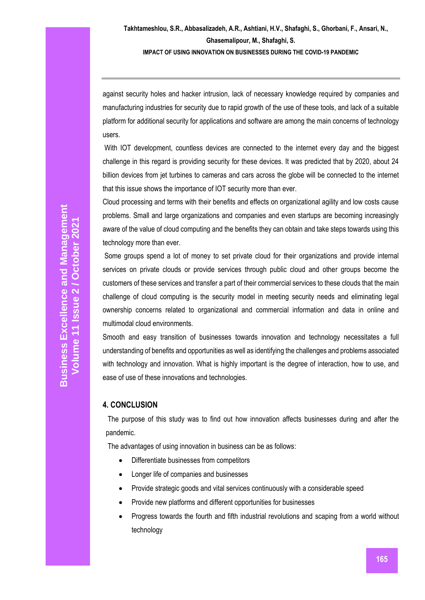against security holes and hacker intrusion, lack of necessary knowledge required by companies and manufacturing industries for security due to rapid growth of the use of these tools, and lack of a suitable platform for additional security for applications and software are among the main concerns of technology users.

With IOT development, countless devices are connected to the internet every day and the biggest challenge in this regard is providing security for these devices. It was predicted that by 2020, about 24 billion devices from jet turbines to cameras and cars across the globe will be connected to the internet that this issue shows the importance of IOT security more than ever.

Cloud processing and terms with their benefits and effects on organizational agility and low costs cause problems. Small and large organizations and companies and even startups are becoming increasingly aware of the value of cloud computing and the benefits they can obtain and take steps towards using this technology more than ever.

Some groups spend a lot of money to set private cloud for their organizations and provide internal services on private clouds or provide services through public cloud and other groups become the customers of these services and transfer a part of their commercial services to these clouds that the main challenge of cloud computing is the security model in meeting security needs and eliminating legal ownership concerns related to organizational and commercial information and data in online and multimodal cloud environments.

Smooth and easy transition of businesses towards innovation and technology necessitates a full understanding of benefits and opportunities as well as identifying the challenges and problems associated with technology and innovation. What is highly important is the degree of interaction, how to use, and ease of use of these innovations and technologies.

## **4. CONCLUSION**

The purpose of this study was to find out how innovation affects businesses during and after the pandemic.

The advantages of using innovation in business can be as follows:

- Differentiate businesses from competitors
- Longer life of companies and businesses
- Provide strategic goods and vital services continuously with a considerable speed
- Provide new platforms and different opportunities for businesses
- Progress towards the fourth and fifth industrial revolutions and scaping from a world without technology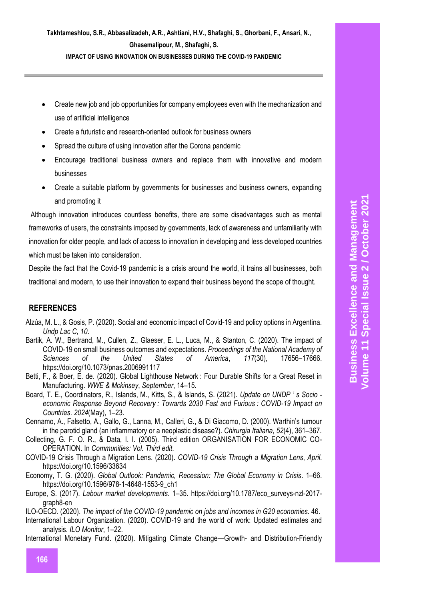**IMPACT OF USING INNOVATION ON BUSINESSES DURING THE COVID-19 PANDEMIC**

- Create new job and job opportunities for company employees even with the mechanization and use of artificial intelligence
- Create a futuristic and research-oriented outlook for business owners
- Spread the culture of using innovation after the Corona pandemic
- Encourage traditional business owners and replace them with innovative and modern businesses
- Create a suitable platform by governments for businesses and business owners, expanding and promoting it

Although innovation introduces countless benefits, there are some disadvantages such as mental frameworks of users, the constraints imposed by governments, lack of awareness and unfamiliarity with innovation for older people, and lack of access to innovation in developing and less developed countries which must be taken into consideration.

Despite the fact that the Covid-19 pandemic is a crisis around the world, it trains all businesses, both traditional and modern, to use their innovation to expand their business beyond the scope of thought.

# **REFERENCES**

- Alzúa, M. L., & Gosis, P. (2020). Social and economic impact of Covid-19 and policy options in Argentina. *Undp Lac C*, *10*.
- Bartik, A. W., Bertrand, M., Cullen, Z., Glaeser, E. L., Luca, M., & Stanton, C. (2020). The impact of COVID-19 on small business outcomes and expectations. *Proceedings of the National Academy of Sciences of the United States of America*, *117*(30), 17656–17666. https://doi.org/10.1073/pnas.2006991117
- Betti, F., & Boer, E. de. (2020). Global Lighthouse Network : Four Durable Shifts for a Great Reset in Manufacturing. *WWE & Mckinsey*, *September*, 14–15.
- Board, T. E., Coordinators, R., Islands, M., Kitts, S., & Islands, S. (2021). *Update on UNDP ' s Socio economic Response Beyond Recovery : Towards 2030 Fast and Furious : COVID-19 Impact on Countries*. *2024*(May), 1–23.
- Cennamo, A., Falsetto, A., Gallo, G., Lanna, M., Calleri, G., & Di Giacomo, D. (2000). Warthin's tumour in the parotid gland (an inflammatory or a neoplastic disease?). *Chirurgia Italiana*, *52*(4), 361–367.
- Collecting, G. F. O. R., & Data, I. I. (2005). Third edition ORGANISATION FOR ECONOMIC CO-OPERATION. In *Communities: Vol. Third edit*.
- COVID-19 Crisis Through a Migration Lens. (2020). *COVID-19 Crisis Through a Migration Lens*, *April*. https://doi.org/10.1596/33634
- Economy, T. G. (2020). *Global Outlook: Pandemic, Recession: The Global Economy in Crisis*. 1–66. https://doi.org/10.1596/978-1-4648-1553-9\_ch1
- Europe, S. (2017). *Labour market developments*. 1–35. https://doi.org/10.1787/eco\_surveys-nzl-2017 graph8-en
- ILO-OECD. (2020). *The impact of the COVID-19 pandemic on jobs and incomes in G20 economies*. 46.
- International Labour Organization. (2020). COVID-19 and the world of work: Updated estimates and analysis. *ILO Monitor*, 1–22.
- International Monetary Fund. (2020). Mitigating Climate Change—Growth- and Distribution-Friendly